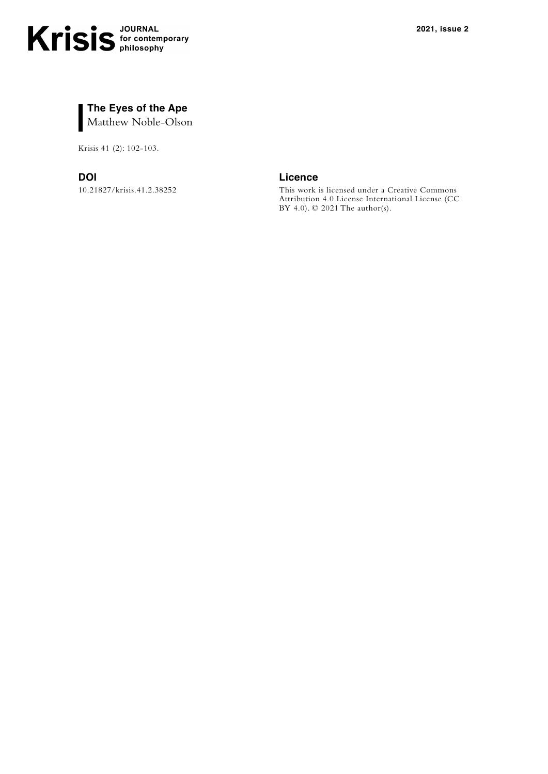

Krisis 41 (2): 102-103.

10.21827/krisis.41.2.38252

**DOI Licence**

This work is licensed under a [Creative Commons](https://creativecommons.org/licenses/by-nc/3.0/)  [Attribution 4.0 License](https://creativecommons.org/licenses/by-nc/3.0/) International License (CC BY 4.0). © 2021 The author(s).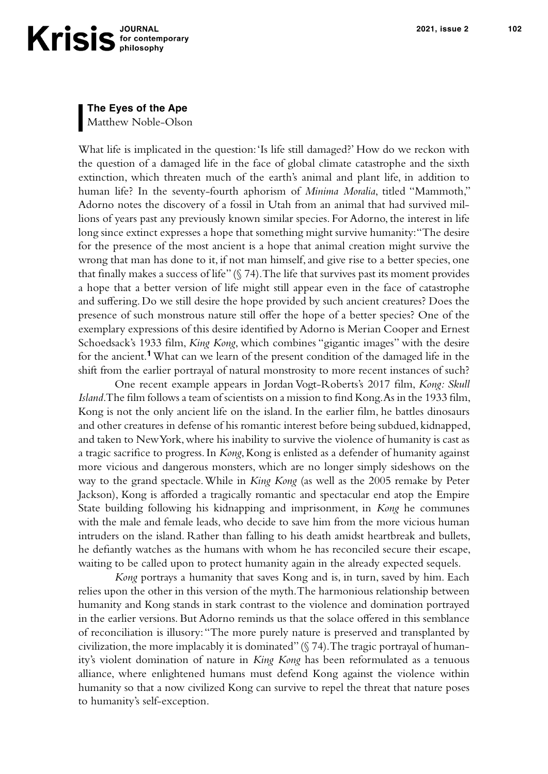**The Eyes of the Ape**

Matthew Noble-Olson

What life is implicated in the question: 'Is life still damaged?' How do we reckon with the question of a damaged life in the face of global climate catastrophe and the sixth extinction, which threaten much of the earth's animal and plant life, in addition to human life? In the seventy-fourth aphorism of *Minima Moralia*, titled "Mammoth," Adorno notes the discovery of a fossil in Utah from an animal that had survived millions of years past any previously known similar species. For Adorno, the interest in life long since extinct expresses a hope that something might survive humanity: "The desire for the presence of the most ancient is a hope that animal creation might survive the wrong that man has done to it, if not man himself, and give rise to a better species, one that finally makes a success of life"  $(\S 74)$ . The life that survives past its moment provides a hope that a better version of life might still appear even in the face of catastrophe and suffering. Do we still desire the hope provided by such ancient creatures? Does the presence of such monstrous nature still offer the hope of a better species? One of the exemplary expressions of this desire identified by Adorno is Merian Cooper and Ernest Schoedsack's 1933 film, *King Kong*, which combines "gigantic images" with the desire for the ancient.**<sup>1</sup>** What can we learn of the present condition of the damaged life in the shift from the earlier portrayal of natural monstrosity to more recent instances of such?

One recent example appears in Jordan Vogt-Roberts's 2017 film, *Kong: Skull Island*. The film follows a team of scientists on a mission to find Kong. As in the 1933 film, Kong is not the only ancient life on the island. In the earlier film, he battles dinosaurs and other creatures in defense of his romantic interest before being subdued, kidnapped, and taken to New York, where his inability to survive the violence of humanity is cast as a tragic sacrifice to progress. In *Kong*, Kong is enlisted as a defender of humanity against more vicious and dangerous monsters, which are no longer simply sideshows on the way to the grand spectacle. While in *King Kong* (as well as the 2005 remake by Peter Jackson), Kong is afforded a tragically romantic and spectacular end atop the Empire State building following his kidnapping and imprisonment, in *Kong* he communes with the male and female leads, who decide to save him from the more vicious human intruders on the island. Rather than falling to his death amidst heartbreak and bullets, he defiantly watches as the humans with whom he has reconciled secure their escape, waiting to be called upon to protect humanity again in the already expected sequels.

*Kong* portrays a humanity that saves Kong and is, in turn, saved by him. Each relies upon the other in this version of the myth. The harmonious relationship between humanity and Kong stands in stark contrast to the violence and domination portrayed in the earlier versions. But Adorno reminds us that the solace offered in this semblance of reconciliation is illusory: "The more purely nature is preserved and transplanted by civilization, the more implacably it is dominated" (§ 74). The tragic portrayal of humanity's violent domination of nature in *King Kong* has been reformulated as a tenuous alliance, where enlightened humans must defend Kong against the violence within humanity so that a now civilized Kong can survive to repel the threat that nature poses to humanity's self-exception.